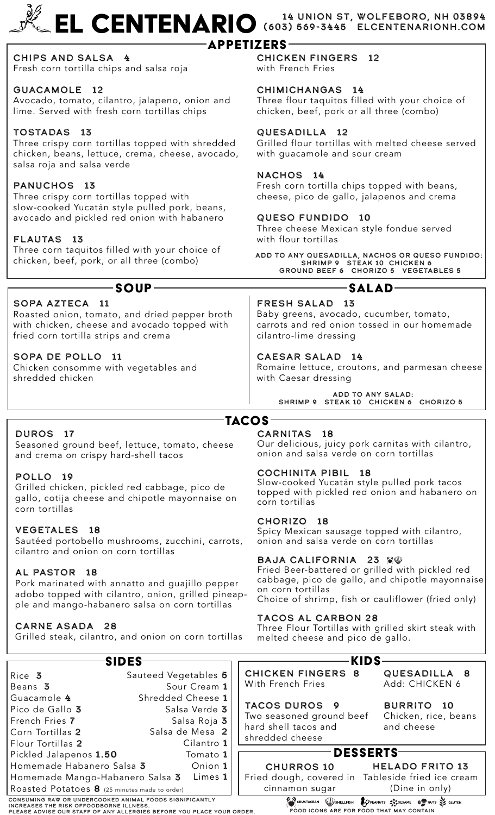# EL CENTENARIO (603) 569-3445 ELCENTENARIONH.COM (603) 569-3445 elcentenarionh.com

## **APPETIZERS-**

Chips and Salsa 4 Fresh corn tortilla chips and salsa roja

## GUACAMOLE 12

Avocado, tomato, cilantro, jalapeno, onion and lime. Served with fresh corn tortillas chips

## TOSTADAS 13

Three crispy corn tortillas topped with shredded chicken, beans, lettuce, crema, cheese, avocado, salsa roja and salsa verde

## PANUCHOS 13

Three crispy corn tortillas topped with slow-cooked Yucatán style pulled pork, beans, avocado and pickled red onion with habanero

## FLAUTAS 13

Three corn taquitos filled with your choice of chicken, beef, pork, or all three (combo)

## SOPA AZTECA 11

Roasted onion, tomato, and dried pepper broth with chicken, cheese and avocado topped with fried corn tortilla strips and crema

## SOPA De Pollo 11

Chicken consomme with vegetables and shredded chicken

CHICKEN FINGERS 12

with French Fries

## CHIMICHANGAS 14

Three flour taquitos filled with your choice of chicken, beef, pork or all three (combo)

## QUESADILLA 12

Grilled flour tortillas with melted cheese served with guacamole and sour cream

## NACHOS 14

Fresh corn tortilla chips topped with beans, cheese, pico de gallo, jalapenos and crema

## QUESO FUNDIDO 10

Three cheese Mexican style fondue served with flour tortillas

ADD to any quesadilla, Nachos or Queso fundido: SHRIMP 9 STEAK 10 CHICKEN 6 Ground Beef 6 CHORIZO 5 VEGETABLES 5

# Soup Salad

FRESH SALAD 13 Baby greens, avocado, cucumber, tomato, carrots and red onion tossed in our homemade cilantro-lime dressing

## CAESAR SALAD 14

Romaine lettuce, croutons, and parmesan cheese with Caesar dressing

> ADD to any Salad: SHRIMP 9 STEAK 10 CHICKEN 6 CHORIZO 5

## **TACOS**

## DUROS 17

Seasoned ground beef, lettuce, tomato, cheese and crema on crispy hard-shell tacos

## POLLO 19

Grilled chicken, pickled red cabbage, pico de gallo, cotija cheese and chipotle mayonnaise on corn tortillas

## VEGETALES 18

Sautéed portobello mushrooms, zucchini, carrots, cilantro and onion on corn tortillas

## AL PASTOR 18

Pork marinated with annatto and guajillo pepper adobo topped with cilantro, onion, grilled pineapple and mango-habanero salsa on corn tortillas

## Carne Asada 28

Grilled steak, cilantro, and onion on corn tortillas

## CARNITAS 18

Our delicious, juicy pork carnitas with cilantro, onion and salsa verde on corn tortillas

## COCHINITA PIBIL 18

Slow-cooked Yucatán style pulled pork tacos topped with pickled red onion and habanero on corn tortillas

#### CHORIZO 18

Spicy Mexican sausage topped with cilantro, onion and salsa verde on corn tortillas

## BAJA CALIFORNIA 23 80

Fried Beer-battered or grilled with pickled red cabbage, pico de gallo, and chipotle mayonnaise on corn tortillas

Choice of shrimp, fish or cauliflower (fried only)

## Tacos al Carbon 28

Three Flour Tortillas with grilled skirt steak with melted cheese and pico de gallo.



consuming raw or undercooked animal foods significantly

increases the risk offoodborne illness. PLEASE ADVISE OUR STAFF OF ANY ALLERGIES BEFORE YOU PLACE YOUR ORDER.

cinnamon sugar

(Dine in only) CRUSTACEAN WSHELLFISH **& OPEANUTS** SUSSAME **OPEANUTS** FOOD ICONS ARE FOR FOOD THAT may CONTAIN